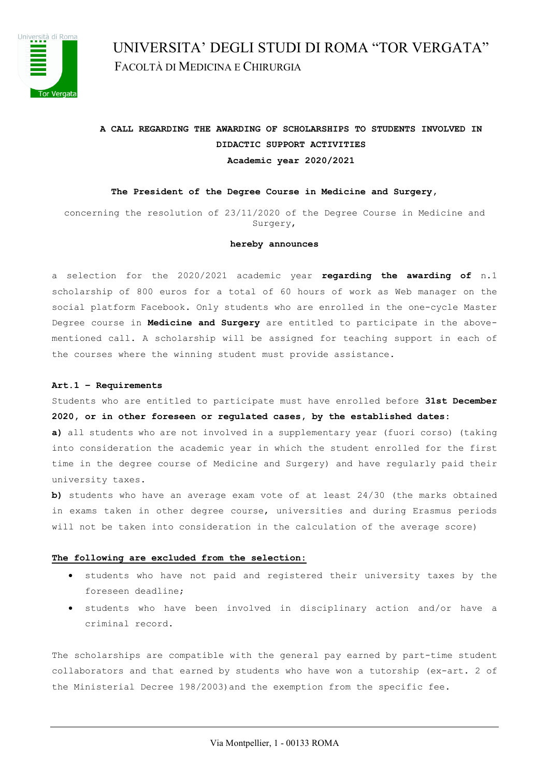

 UNIVERSITA' DEGLI STUDI DI ROMA "TOR VERGATA" FACOLTÀ DI MEDICINA E CHIRURGIA

# **A CALL REGARDING THE AWARDING OF SCHOLARSHIPS TO STUDENTS INVOLVED IN DIDACTIC SUPPORT ACTIVITIES Academic year 2020/2021**

#### **The President of the Degree Course in Medicine and Surgery,**

concerning the resolution of 23/11/2020 of the Degree Course in Medicine and Surgery,

#### **hereby announces**

a selection for the 2020/2021 academic year **regarding the awarding of** n.1 scholarship of 800 euros for a total of 60 hours of work as Web manager on the social platform Facebook. Only students who are enrolled in the one-cycle Master Degree course in **Medicine and Surgery** are entitled to participate in the abovementioned call. A scholarship will be assigned for teaching support in each of the courses where the winning student must provide assistance.

#### **Art.1 – Requirements**

Students who are entitled to participate must have enrolled before **31st December 2020, or in other foreseen or regulated cases, by the established dates:** 

**a)** all students who are not involved in a supplementary year (fuori corso) (taking into consideration the academic year in which the student enrolled for the first time in the degree course of Medicine and Surgery) and have regularly paid their university taxes.

**b)** students who have an average exam vote of at least 24/30 (the marks obtained in exams taken in other degree course, universities and during Erasmus periods will not be taken into consideration in the calculation of the average score)

#### **The following are excluded from the selection:**

- students who have not paid and registered their university taxes by the foreseen deadline;
- students who have been involved in disciplinary action and/or have a criminal record.

The scholarships are compatible with the general pay earned by part-time student collaborators and that earned by students who have won a tutorship (ex-art. 2 of the Ministerial Decree 198/2003)and the exemption from the specific fee.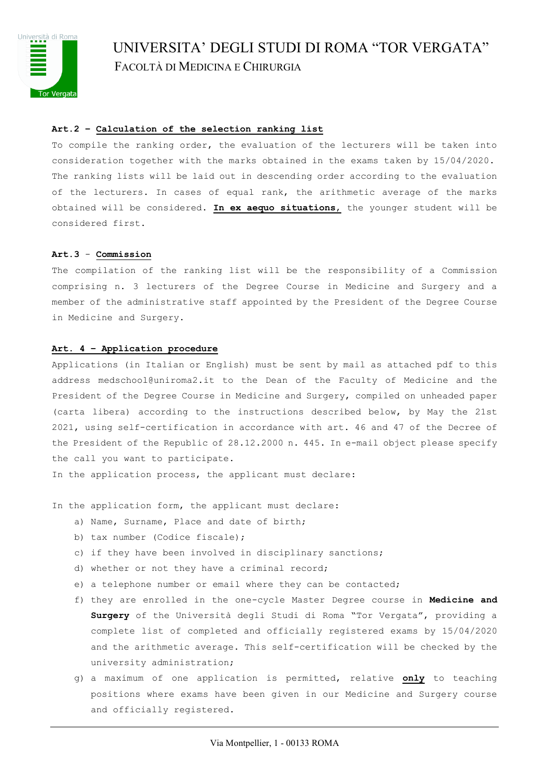

# UNIVERSITA' DEGLI STUDI DI ROMA "TOR VERGATA" FACOLTÀ DI MEDICINA E CHIRURGIA

# **Art.2 – Calculation of the selection ranking list**

To compile the ranking order, the evaluation of the lecturers will be taken into consideration together with the marks obtained in the exams taken by 15/04/2020. The ranking lists will be laid out in descending order according to the evaluation of the lecturers. In cases of equal rank, the arithmetic average of the marks obtained will be considered. **In ex aequo situations**, the younger student will be considered first.

#### **Art.3** - **Commission**

The compilation of the ranking list will be the responsibility of a Commission comprising n. 3 lecturers of the Degree Course in Medicine and Surgery and a member of the administrative staff appointed by the President of the Degree Course in Medicine and Surgery.

#### **Art. 4 – Application procedure**

Applications (in Italian or English) must be sent by mail as attached pdf to this address medschool@uniroma2.it to the Dean of the Faculty of Medicine and the President of the Degree Course in Medicine and Surgery, compiled on unheaded paper (carta libera) according to the instructions described below, by May the 21st 2021, using self-certification in accordance with art. 46 and 47 of the Decree of the President of the Republic of 28.12.2000 n. 445. In e-mail object please specify the call you want to participate.

In the application process, the applicant must declare:

In the application form, the applicant must declare:

- a) Name, Surname, Place and date of birth;
- b) tax number (Codice fiscale);
- c) if they have been involved in disciplinary sanctions;
- d) whether or not they have a criminal record;
- e) a telephone number or email where they can be contacted;
- f) they are enrolled in the one-cycle Master Degree course in **Medicine and Surgery** of the Università degli Studi di Roma "Tor Vergata", providing a complete list of completed and officially registered exams by 15/04/2020 and the arithmetic average. This self-certification will be checked by the university administration;
- g) a maximum of one application is permitted, relative **only** to teaching positions where exams have been given in our Medicine and Surgery course and officially registered.